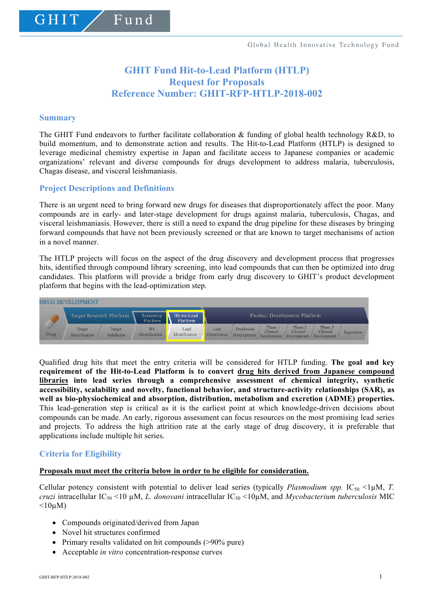# **GHIT Fund Hit-to-Lead Platform (HTLP) Request for Proposals Reference Number: GHIT-RFP-HTLP-2018-002**

#### **Summary**

GHIT

The GHIT Fund endeavors to further facilitate collaboration & funding of global health technology R&D, to build momentum, and to demonstrate action and results. The Hit-to-Lead Platform (HTLP) is designed to leverage medicinal chemistry expertise in Japan and facilitate access to Japanese companies or academic organizations' relevant and diverse compounds for drugs development to address malaria, tuberculosis, Chagas disease, and visceral leishmaniasis.

# **Project Descriptions and Definitions**

Fund

There is an urgent need to bring forward new drugs for diseases that disproportionately affect the poor. Many compounds are in early- and later-stage development for drugs against malaria, tuberculosis, Chagas, and visceral leishmaniasis. However, there is still a need to expand the drug pipeline for these diseases by bringing forward compounds that have not been previously screened or that are known to target mechanisms of action in a novel manner.

The HTLP projects will focus on the aspect of the drug discovery and development process that progresses hits, identified through compound library screening, into lead compounds that can then be optimized into drug candidates. This platform will provide a bridge from early drug discovery to GHIT's product development platform that begins with the lead-optimization step.



Qualified drug hits that meet the entry criteria will be considered for HTLP funding. **The goal and key requirement of the Hit-to-Lead Platform is to convert drug hits derived from Japanese compound libraries into lead series through a comprehensive assessment of chemical integrity, synthetic accessibility, scalability and novelty, functional behavior, and structure-activity relationships (SAR), as well as bio-physiochemical and absorption, distribution, metabolism and excretion (ADME) properties.** This lead-generation step is critical as it is the earliest point at which knowledge-driven decisions about compounds can be made. An early, rigorous assessment can focus resources on the most promising lead series and projects. To address the high attrition rate at the early stage of drug discovery, it is preferable that applications include multiple hit series.

# **Criteria for Eligibility**

#### **Proposals must meet the criteria below in order to be eligible for consideration.**

Cellular potency consistent with potential to deliver lead series (typically *Plasmodium spp.* IC<sub>50</sub> <1 $\mu$ M, *T. cruzi* intracellular  $IC_{50}$  <10  $\mu$ M, *L. donovani* intracellular  $IC_{50}$  <10 $\mu$ M, and *Mycobacterium tuberculosis* MIC  $\leq 10 \mu M$ )

- Compounds originated/derived from Japan
- Novel hit structures confirmed
- Primary results validated on hit compounds (>90% pure)
- Acceptable *in vitro* concentration-response curves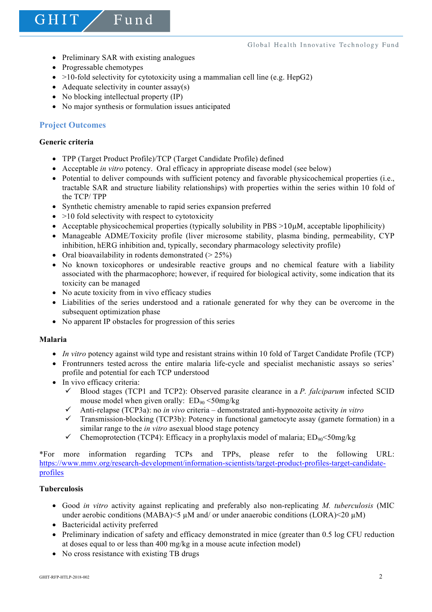• Preliminary SAR with existing analogues

Fund

- Progressable chemotypes
- $>10$ -fold selectivity for cytotoxicity using a mammalian cell line (e.g. HepG2)
- Adequate selectivity in counter  $assay(s)$
- No blocking intellectual property (IP)
- No major synthesis or formulation issues anticipated

# **Project Outcomes**

# **Generic criteria**

GHIT

- TPP (Target Product Profile)/TCP (Target Candidate Profile) defined
- Acceptable *in vitro* potency. Oral efficacy in appropriate disease model (see below)
- Potential to deliver compounds with sufficient potency and favorable physicochemical properties (i.e., tractable SAR and structure liability relationships) with properties within the series within 10 fold of the TCP/ TPP
- Synthetic chemistry amenable to rapid series expansion preferred
- $\bullet$  >10 fold selectivity with respect to cytotoxicity
- Acceptable physicochemical properties (typically solubility in  $PBS >10\mu$ M, acceptable lipophilicity)
- Manageable ADME/Toxicity profile (liver microsome stability, plasma binding, permeability, CYP inhibition, hERG inhibition and, typically, secondary pharmacology selectivity profile)
- Oral bioavailability in rodents demonstrated  $(> 25\%)$
- No known toxicophores or undesirable reactive groups and no chemical feature with a liability associated with the pharmacophore; however, if required for biological activity, some indication that its toxicity can be managed
- No acute toxicity from in vivo efficacy studies
- Liabilities of the series understood and a rationale generated for why they can be overcome in the subsequent optimization phase
- No apparent IP obstacles for progression of this series

# **Malaria**

- *In vitro* potency against wild type and resistant strains within 10 fold of Target Candidate Profile (TCP)
- Frontrunners tested across the entire malaria life-cycle and specialist mechanistic assays so series' profile and potential for each TCP understood
- In vivo efficacy criteria:
	- $\checkmark$  Blood stages (TCP1 and TCP2): Observed parasite clearance in a *P. falciparum* infected SCID mouse model when given orally:  $ED_{90} < 50$ mg/kg
	- $\checkmark$  Anti-relapse (TCP3a): no *in vivo* criteria demonstrated anti-hypnozoite activity *in vitro*
	- $\checkmark$  Transmission-blocking (TCP3b): Potency in functional gametocyte assay (gamete formation) in a similar range to the *in vitro* asexual blood stage potency
	- Chemoprotection (TCP4): Efficacy in a prophylaxis model of malaria;  $ED_{90} < 50$ mg/kg

\*For more information regarding TCPs and TPPs, please refer to the following URL: https://www.mmv.org/research-development/information-scientists/target-product-profiles-target-candidateprofiles

# **Tuberculosis**

- Good *in vitro* activity against replicating and preferably also non-replicating *M. tuberculosis* (MIC under aerobic conditions (MABA)<5 µM and/ or under anaerobic conditions (LORA)<20 µM)
- Bactericidal activity preferred
- Preliminary indication of safety and efficacy demonstrated in mice (greater than 0.5 log CFU reduction at doses equal to or less than 400 mg/kg in a mouse acute infection model)
- No cross resistance with existing TB drugs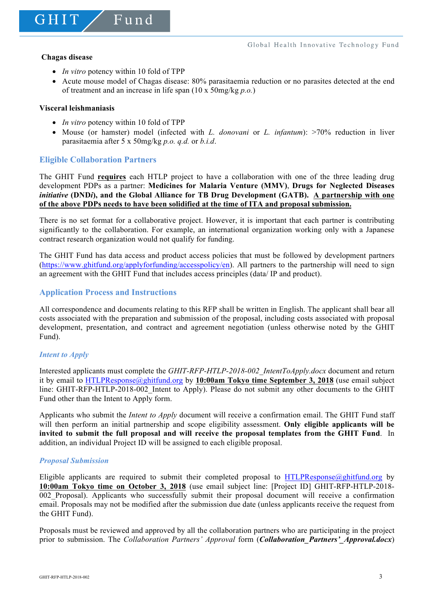GHIT

• *In vitro* potency within 10 fold of TPP

 $F$ und

• Acute mouse model of Chagas disease: 80% parasitaemia reduction or no parasites detected at the end of treatment and an increase in life span (10 x 50mg/kg *p.o.*)

#### **Visceral leishmaniasis**

- *In vitro* potency within 10 fold of TPP
- Mouse (or hamster) model (infected with *L. donovani* or *L. infantum*): >70% reduction in liver parasitaemia after 5 x 50mg/kg *p.o. q.d.* or *b.i.d*.

# **Eligible Collaboration Partners**

The GHIT Fund **requires** each HTLP project to have a collaboration with one of the three leading drug development PDPs as a partner: **Medicines for Malaria Venture (MMV)**, **Drugs for Neglected Diseases**  *initiative* **(DND***i***), and the Global Alliance for TB Drug Development (GATB). A partnership with one of the above PDPs needs to have been solidified at the time of ITA and proposal submission.**

There is no set format for a collaborative project. However, it is important that each partner is contributing significantly to the collaboration. For example, an international organization working only with a Japanese contract research organization would not qualify for funding.

The GHIT Fund has data access and product access policies that must be followed by development partners (https://www.ghitfund.org/applyforfunding/accesspolicy/en). All partners to the partnership will need to sign an agreement with the GHIT Fund that includes access principles (data/ IP and product).

# **Application Process and Instructions**

All correspondence and documents relating to this RFP shall be written in English. The applicant shall bear all costs associated with the preparation and submission of the proposal, including costs associated with proposal development, presentation, and contract and agreement negotiation (unless otherwise noted by the GHIT Fund).

# *Intent to Apply*

Interested applicants must complete the *GHIT-RFP-HTLP-2018-002\_IntentToApply.docx* document and return it by email to HTLPResponse@ghitfund.org by **10:00am Tokyo time September 3, 2018** (use email subject line: GHIT-RFP-HTLP-2018-002 Intent to Apply). Please do not submit any other documents to the GHIT Fund other than the Intent to Apply form.

Applicants who submit the *Intent to Apply* document will receive a confirmation email. The GHIT Fund staff will then perform an initial partnership and scope eligibility assessment. **Only eligible applicants will be invited to submit the full proposal and will receive the proposal templates from the GHIT Fund**. In addition, an individual Project ID will be assigned to each eligible proposal.

#### *Proposal Submission*

Eligible applicants are required to submit their completed proposal to HTLPResponse@phitfund.org by **10:00am Tokyo time on October 3, 2018** (use email subject line: [Project ID] GHIT-RFP-HTLP-2018- 002\_Proposal). Applicants who successfully submit their proposal document will receive a confirmation email. Proposals may not be modified after the submission due date (unless applicants receive the request from the GHIT Fund).

Proposals must be reviewed and approved by all the collaboration partners who are participating in the project prior to submission. The *Collaboration Partners' Approval* form (*Collaboration\_Partners'\_Approval.docx*)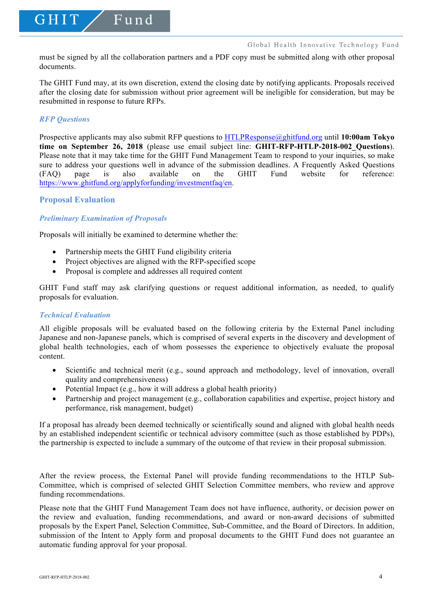must be signed by all the collaboration partners and a PDF copy must be submitted along with other proposal documents.

The GHIT Fund may, at its own discretion, extend the closing date by notifying applicants. Proposals received after the closing date for submission without prior agreement will be ineligible for consideration, but may be resubmitted in response to future RFPs.

#### *RFP Questions*

GHIT

Prospective applicants may also submit RFP questions to HTLPResponse@ghitfund.org until **10:00am Tokyo time on September 26, 2018** (please use email subject line: **GHIT-RFP-HTLP-2018-002\_Questions**). Please note that it may take time for the GHIT Fund Management Team to respond to your inquiries, so make sure to address your questions well in advance of the submission deadlines. A Frequently Asked Questions (FAQ) page is also available on the GHIT Fund website for reference: https://www.ghitfund.org/applyforfunding/investmentfaq/en.

#### **Proposal Evaluation**

# *Preliminary Examination of Proposals*

Proposals will initially be examined to determine whether the:

Fund

- Partnership meets the GHIT Fund eligibility criteria
- Project objectives are aligned with the RFP-specified scope
- Proposal is complete and addresses all required content

GHIT Fund staff may ask clarifying questions or request additional information, as needed, to qualify proposals for evaluation.

#### *Technical Evaluation*

All eligible proposals will be evaluated based on the following criteria by the External Panel including Japanese and non-Japanese panels, which is comprised of several experts in the discovery and development of global health technologies, each of whom possesses the experience to objectively evaluate the proposal content.

- Scientific and technical merit (e.g., sound approach and methodology, level of innovation, overall quality and comprehensiveness)
- Potential Impact (e.g., how it will address a global health priority)
- Partnership and project management (e.g., collaboration capabilities and expertise, project history and performance, risk management, budget)

If a proposal has already been deemed technically or scientifically sound and aligned with global health needs by an established independent scientific or technical advisory committee (such as those established by PDPs), the partnership is expected to include a summary of the outcome of that review in their proposal submission.

After the review process, the External Panel will provide funding recommendations to the HTLP Sub-Committee, which is comprised of selected GHIT Selection Committee members, who review and approve funding recommendations.

Please note that the GHIT Fund Management Team does not have influence, authority, or decision power on the review and evaluation, funding recommendations, and award or non-award decisions of submitted proposals by the Expert Panel, Selection Committee, Sub-Committee, and the Board of Directors. In addition, submission of the Intent to Apply form and proposal documents to the GHIT Fund does not guarantee an automatic funding approval for your proposal.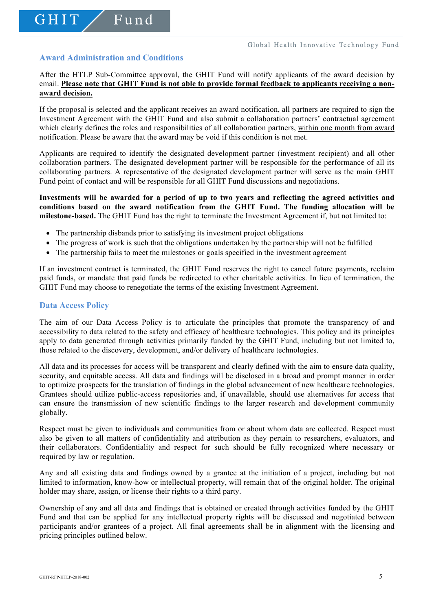# **Award Administration and Conditions**

GHIT

Fund

After the HTLP Sub-Committee approval, the GHIT Fund will notify applicants of the award decision by email. **Please note that GHIT Fund is not able to provide formal feedback to applicants receiving a nonaward decision.**

If the proposal is selected and the applicant receives an award notification, all partners are required to sign the Investment Agreement with the GHIT Fund and also submit a collaboration partners' contractual agreement which clearly defines the roles and responsibilities of all collaboration partners, within one month from award notification. Please be aware that the award may be void if this condition is not met.

Applicants are required to identify the designated development partner (investment recipient) and all other collaboration partners. The designated development partner will be responsible for the performance of all its collaborating partners. A representative of the designated development partner will serve as the main GHIT Fund point of contact and will be responsible for all GHIT Fund discussions and negotiations.

**Investments will be awarded for a period of up to two years and reflecting the agreed activities and conditions based on the award notification from the GHIT Fund. The funding allocation will be milestone-based.** The GHIT Fund has the right to terminate the Investment Agreement if, but not limited to:

- The partnership disbands prior to satisfying its investment project obligations
- The progress of work is such that the obligations undertaken by the partnership will not be fulfilled
- The partnership fails to meet the milestones or goals specified in the investment agreement

If an investment contract is terminated, the GHIT Fund reserves the right to cancel future payments, reclaim paid funds, or mandate that paid funds be redirected to other charitable activities. In lieu of termination, the GHIT Fund may choose to renegotiate the terms of the existing Investment Agreement.

#### **Data Access Policy**

The aim of our Data Access Policy is to articulate the principles that promote the transparency of and accessibility to data related to the safety and efficacy of healthcare technologies. This policy and its principles apply to data generated through activities primarily funded by the GHIT Fund, including but not limited to, those related to the discovery, development, and/or delivery of healthcare technologies.

All data and its processes for access will be transparent and clearly defined with the aim to ensure data quality, security, and equitable access. All data and findings will be disclosed in a broad and prompt manner in order to optimize prospects for the translation of findings in the global advancement of new healthcare technologies. Grantees should utilize public-access repositories and, if unavailable, should use alternatives for access that can ensure the transmission of new scientific findings to the larger research and development community globally.

Respect must be given to individuals and communities from or about whom data are collected. Respect must also be given to all matters of confidentiality and attribution as they pertain to researchers, evaluators, and their collaborators. Confidentiality and respect for such should be fully recognized where necessary or required by law or regulation.

Any and all existing data and findings owned by a grantee at the initiation of a project, including but not limited to information, know-how or intellectual property, will remain that of the original holder. The original holder may share, assign, or license their rights to a third party.

Ownership of any and all data and findings that is obtained or created through activities funded by the GHIT Fund and that can be applied for any intellectual property rights will be discussed and negotiated between participants and/or grantees of a project. All final agreements shall be in alignment with the licensing and pricing principles outlined below.